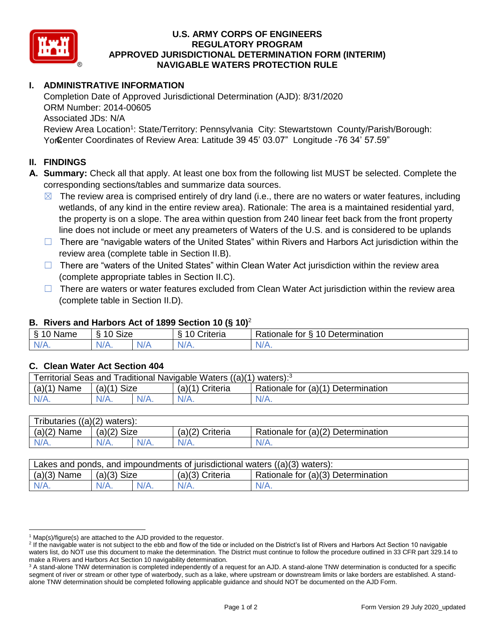

#### **U.S. ARMY CORPS OF ENGINEERS REGULATORY PROGRAM APPROVED JURISDICTIONAL DETERMINATION FORM (INTERIM) NAVIGABLE WATERS PROTECTION RULE**

# **I. ADMINISTRATIVE INFORMATION**

Completion Date of Approved Jurisdictional Determination (AJD): 8/31/2020 ORM Number: 2014-00605 Associated JDs: N/A Review Area Location<sup>1</sup>: State/Territory: Pennsylvania City: Stewartstown County/Parish/Borough: Yor Genter Coordinates of Review Area: Latitude 39 45' 03.07" Longitude -76 34' 57.59"

#### **II. FINDINGS**

- **A. Summary:** Check all that apply. At least one box from the following list MUST be selected. Complete the corresponding sections/tables and summarize data sources.
	- $\boxtimes$  The review area is comprised entirely of dry land (i.e., there are no waters or water features, including wetlands, of any kind in the entire review area). Rationale: The area is a maintained residential yard, the property is on a slope. The area within question from 240 linear feet back from the front property line does not include or meet any preameters of Waters of the U.S. and is considered to be uplands
	- $\Box$  There are "navigable waters of the United States" within Rivers and Harbors Act jurisdiction within the review area (complete table in Section II.B).
	- □ There are "waters of the United States" within Clean Water Act jurisdiction within the review area (complete appropriate tables in Section II.C).
	- $\Box$  There are waters or water features excluded from Clean Water Act jurisdiction within the review area (complete table in Section II.D).

#### **B. Rivers and Harbors Act of 1899 Section 10 (§ 10)**<sup>2</sup>

|      |                                                 |  | $\cdot$        |                                           |
|------|-------------------------------------------------|--|----------------|-------------------------------------------|
| Name | $\ddot{\phantom{1}}$<br>$\sqrt{ }$<br>SIZE<br>∼ |  | <b>Interia</b> | 10 Determination<br>-<br>⊀atıonale<br>tor |
| N/   | N/A.                                            |  | N/A.           | N/A.                                      |

## **C. Clean Water Act Section 404**

| Territorial Seas and Traditional Navigable Waters $((a)(1)$ waters): <sup>3</sup> |                |  |                 |                                    |  |
|-----------------------------------------------------------------------------------|----------------|--|-----------------|------------------------------------|--|
| (a)(1)<br>Name                                                                    | Size<br>(a)(1) |  | (a)(1) Criteria | Rationale for (a)(1) Determination |  |
|                                                                                   | $N/A$ .        |  | $N/A$ .         | $N/A$ .                            |  |

| ((a)(2))<br>waters):<br>I ributaries |                            |         |                    |                                    |  |  |
|--------------------------------------|----------------------------|---------|--------------------|------------------------------------|--|--|
| (a)(2)<br>Name                       | <b>Size</b><br>$(a)$ $(2)$ |         | (a)(2)<br>Criteria | Rationale for (a)(2) Determination |  |  |
| $N/A$ .                              | $N/A$ .                    | $N/A$ . | $N/A$ .            | 'N/A.                              |  |  |

| Lakes and ponds, and impoundments of jurisdictional waters ((a)(3) waters): |               |  |                 |                                    |  |
|-----------------------------------------------------------------------------|---------------|--|-----------------|------------------------------------|--|
| $(a)(3)$ Name                                                               | $(a)(3)$ Size |  | (a)(3) Criteria | Rationale for (a)(3) Determination |  |
| $N/A$ .                                                                     | $N/A$ .       |  | $N/A$ .         | $N/A$ .                            |  |

<sup>&</sup>lt;sup>1</sup> Map(s)/figure(s) are attached to the AJD provided to the requestor.

<sup>&</sup>lt;sup>2</sup> If the navigable water is not subject to the ebb and flow of the tide or included on the District's list of Rivers and Harbors Act Section 10 navigable waters list, do NOT use this document to make the determination. The District must continue to follow the procedure outlined in 33 CFR part 329.14 to make a Rivers and Harbors Act Section 10 navigability determination.

<sup>&</sup>lt;sup>3</sup> A stand-alone TNW determination is completed independently of a request for an AJD. A stand-alone TNW determination is conducted for a specific segment of river or stream or other type of waterbody, such as a lake, where upstream or downstream limits or lake borders are established. A standalone TNW determination should be completed following applicable guidance and should NOT be documented on the AJD Form.